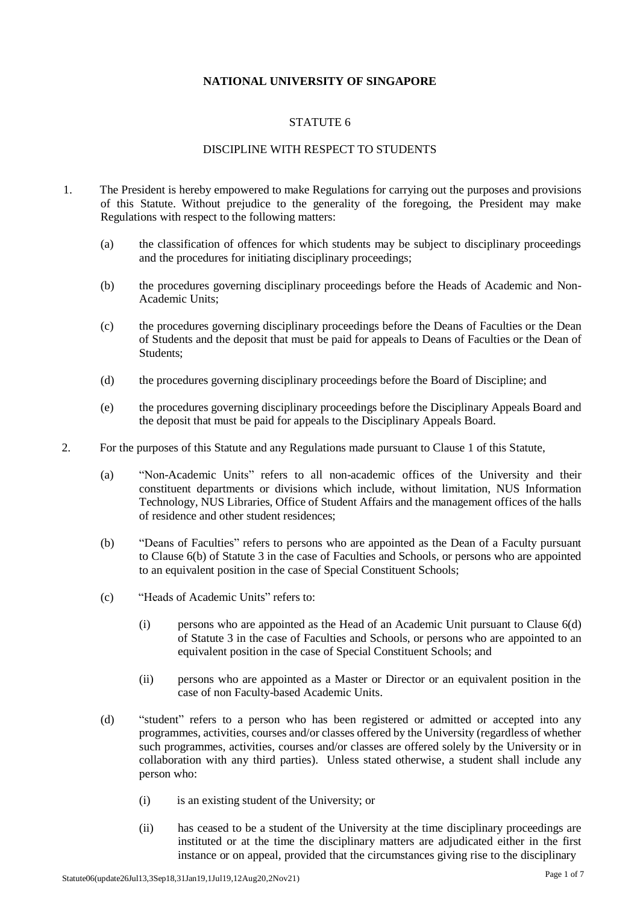## **NATIONAL UNIVERSITY OF SINGAPORE**

## STATUTE 6

# DISCIPLINE WITH RESPECT TO STUDENTS

- 1. The President is hereby empowered to make Regulations for carrying out the purposes and provisions of this Statute. Without prejudice to the generality of the foregoing, the President may make Regulations with respect to the following matters:
	- (a) the classification of offences for which students may be subject to disciplinary proceedings and the procedures for initiating disciplinary proceedings;
	- (b) the procedures governing disciplinary proceedings before the Heads of Academic and Non-Academic Units;
	- (c) the procedures governing disciplinary proceedings before the Deans of Faculties or the Dean of Students and the deposit that must be paid for appeals to Deans of Faculties or the Dean of Students;
	- (d) the procedures governing disciplinary proceedings before the Board of Discipline; and
	- (e) the procedures governing disciplinary proceedings before the Disciplinary Appeals Board and the deposit that must be paid for appeals to the Disciplinary Appeals Board.
- 2. For the purposes of this Statute and any Regulations made pursuant to Clause 1 of this Statute,
	- (a) "Non-Academic Units" refers to all non-academic offices of the University and their constituent departments or divisions which include, without limitation, NUS Information Technology, NUS Libraries, Office of Student Affairs and the management offices of the halls of residence and other student residences;
	- (b) "Deans of Faculties" refers to persons who are appointed as the Dean of a Faculty pursuant to Clause 6(b) of Statute 3 in the case of Faculties and Schools, or persons who are appointed to an equivalent position in the case of Special Constituent Schools;
	- (c) "Heads of Academic Units" refers to:
		- (i) persons who are appointed as the Head of an Academic Unit pursuant to Clause 6(d) of Statute 3 in the case of Faculties and Schools, or persons who are appointed to an equivalent position in the case of Special Constituent Schools; and
		- (ii) persons who are appointed as a Master or Director or an equivalent position in the case of non Faculty-based Academic Units.
	- (d) "student" refers to a person who has been registered or admitted or accepted into any programmes, activities, courses and/or classes offered by the University (regardless of whether such programmes, activities, courses and/or classes are offered solely by the University or in collaboration with any third parties). Unless stated otherwise, a student shall include any person who:
		- (i) is an existing student of the University; or
		- (ii) has ceased to be a student of the University at the time disciplinary proceedings are instituted or at the time the disciplinary matters are adjudicated either in the first instance or on appeal, provided that the circumstances giving rise to the disciplinary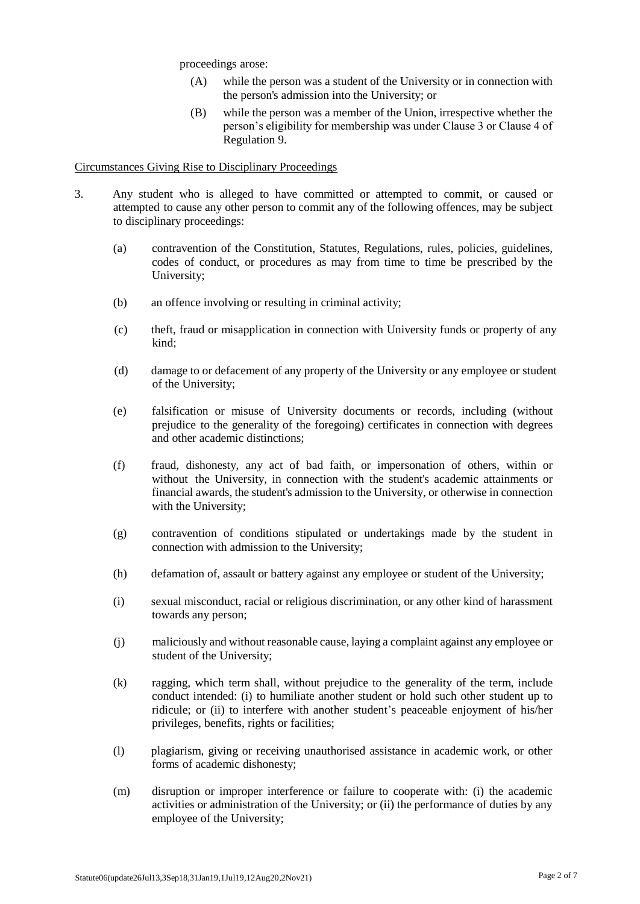proceedings arose:

- (A) while the person was a student of the University or in connection with the person's admission into the University; or
- (B) while the person was a member of the Union, irrespective whether the person's eligibility for membership was under Clause 3 or Clause 4 of Regulation 9.

## Circumstances Giving Rise to Disciplinary Proceedings

- 3. Any student who is alleged to have committed or attempted to commit, or caused or attempted to cause any other person to commit any of the following offences, may be subject to disciplinary proceedings:
	- (a) contravention of the Constitution, Statutes, Regulations, rules, policies, guidelines, codes of conduct, or procedures as may from time to time be prescribed by the University;
	- (b) an offence involving or resulting in criminal activity;
	- (c) theft, fraud or misapplication in connection with University funds or property of any kind;
	- (d) damage to or defacement of any property of the University or any employee or student of the University;
	- (e) falsification or misuse of University documents or records, including (without prejudice to the generality of the foregoing) certificates in connection with degrees and other academic distinctions;
	- (f) fraud, dishonesty, any act of bad faith, or impersonation of others, within or without the University, in connection with the student's academic attainments or financial awards, the student's admission to the University, or otherwise in connection with the University;
	- (g) contravention of conditions stipulated or undertakings made by the student in connection with admission to the University;
	- (h) defamation of, assault or battery against any employee or student of the University;
	- (i) sexual misconduct, racial or religious discrimination, or any other kind of harassment towards any person;
	- (j) maliciously and without reasonable cause, laying a complaint against any employee or student of the University;
	- (k) ragging, which term shall, without prejudice to the generality of the term, include conduct intended: (i) to humiliate another student or hold such other student up to ridicule; or (ii) to interfere with another student's peaceable enjoyment of his/her privileges, benefits, rights or facilities;
	- (l) plagiarism, giving or receiving unauthorised assistance in academic work, or other forms of academic dishonesty;
	- (m) disruption or improper interference or failure to cooperate with: (i) the academic activities or administration of the University; or (ii) the performance of duties by any employee of the University;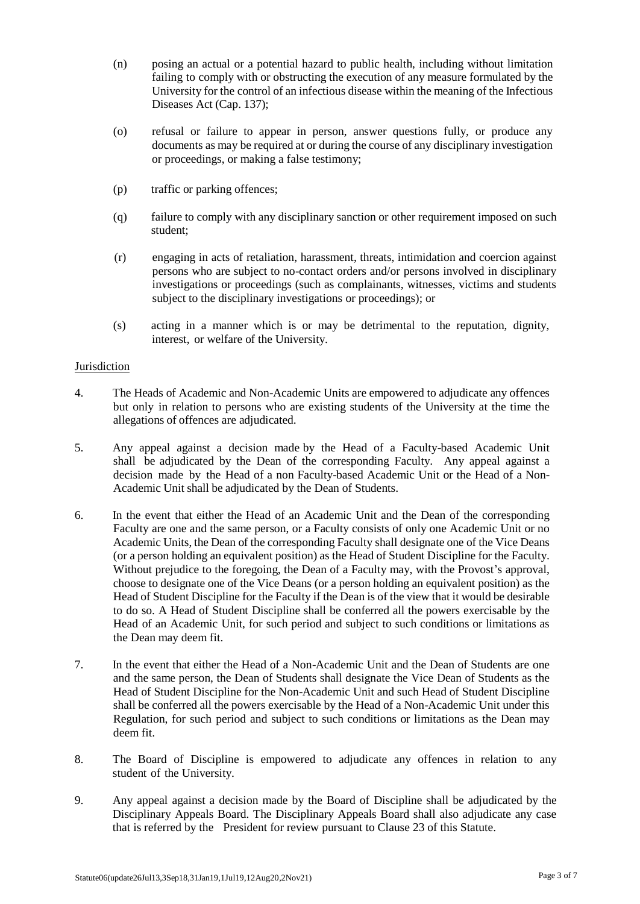- (n) posing an actual or a potential hazard to public health, including without limitation failing to comply with or obstructing the execution of any measure formulated by the University for the control of an infectious disease within the meaning of the Infectious Diseases Act (Cap. 137);
- (o) refusal or failure to appear in person, answer questions fully, or produce any documents as may be required at or during the course of any disciplinary investigation or proceedings, or making a false testimony;
- (p) traffic or parking offences;
- (q) failure to comply with any disciplinary sanction or other requirement imposed on such student;
- (r) engaging in acts of retaliation, harassment, threats, intimidation and coercion against persons who are subject to no-contact orders and/or persons involved in disciplinary investigations or proceedings (such as complainants, witnesses, victims and students subject to the disciplinary investigations or proceedings); or
- (s) acting in a manner which is or may be detrimental to the reputation, dignity, interest, or welfare of the University.

### Jurisdiction

- 4. The Heads of Academic and Non-Academic Units are empowered to adjudicate any offences but only in relation to persons who are existing students of the University at the time the allegations of offences are adjudicated.
- 5. Any appeal against a decision made by the Head of a Faculty-based Academic Unit shall be adjudicated by the Dean of the corresponding Faculty. Any appeal against a decision made by the Head of a non Faculty-based Academic Unit or the Head of a Non-Academic Unit shall be adjudicated by the Dean of Students.
- 6. In the event that either the Head of an Academic Unit and the Dean of the corresponding Faculty are one and the same person, or a Faculty consists of only one Academic Unit or no Academic Units, the Dean of the corresponding Faculty shall designate one of the Vice Deans (or a person holding an equivalent position) as the Head of Student Discipline for the Faculty. Without prejudice to the foregoing, the Dean of a Faculty may, with the Provost's approval, choose to designate one of the Vice Deans (or a person holding an equivalent position) as the Head of Student Discipline for the Faculty if the Dean is of the view that it would be desirable to do so. A Head of Student Discipline shall be conferred all the powers exercisable by the Head of an Academic Unit, for such period and subject to such conditions or limitations as the Dean may deem fit.
- 7. In the event that either the Head of a Non-Academic Unit and the Dean of Students are one and the same person, the Dean of Students shall designate the Vice Dean of Students as the Head of Student Discipline for the Non-Academic Unit and such Head of Student Discipline shall be conferred all the powers exercisable by the Head of a Non-Academic Unit under this Regulation, for such period and subject to such conditions or limitations as the Dean may deem fit.
- 8. The Board of Discipline is empowered to adjudicate any offences in relation to any student of the University.
- 9. Any appeal against a decision made by the Board of Discipline shall be adjudicated by the Disciplinary Appeals Board. The Disciplinary Appeals Board shall also adjudicate any case that is referred by the President for review pursuant to Clause 23 of this Statute.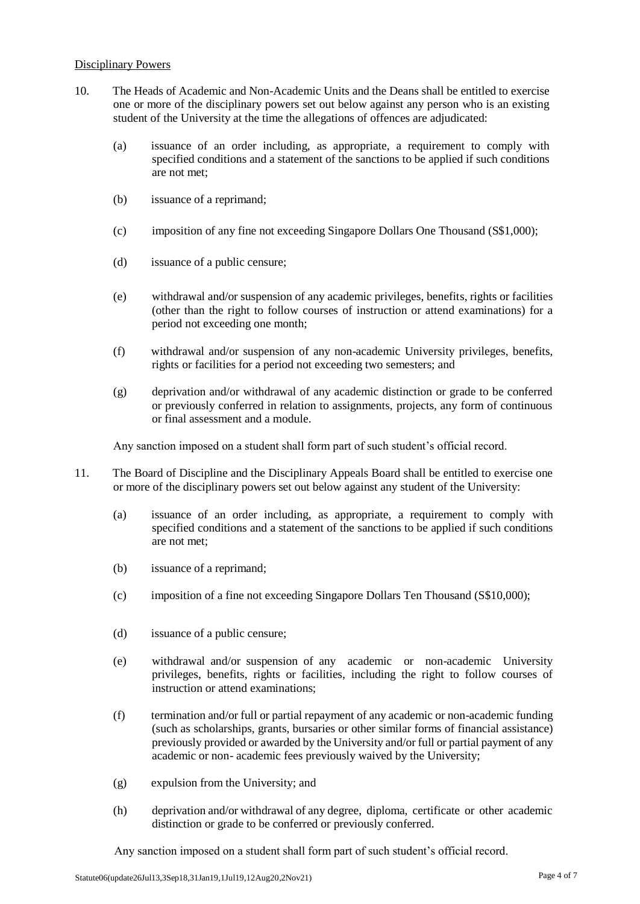## Disciplinary Powers

- 10. The Heads of Academic and Non-Academic Units and the Deans shall be entitled to exercise one or more of the disciplinary powers set out below against any person who is an existing student of the University at the time the allegations of offences are adjudicated:
	- (a) issuance of an order including, as appropriate, a requirement to comply with specified conditions and a statement of the sanctions to be applied if such conditions are not met;
	- (b) issuance of a reprimand;
	- (c) imposition of any fine not exceeding Singapore Dollars One Thousand (S\$1,000);
	- (d) issuance of a public censure;
	- (e) withdrawal and/or suspension of any academic privileges, benefits, rights or facilities (other than the right to follow courses of instruction or attend examinations) for a period not exceeding one month;
	- (f) withdrawal and/or suspension of any non-academic University privileges, benefits, rights or facilities for a period not exceeding two semesters; and
	- (g) deprivation and/or withdrawal of any academic distinction or grade to be conferred or previously conferred in relation to assignments, projects, any form of continuous or final assessment and a module.

Any sanction imposed on a student shall form part of such student's official record.

- 11. The Board of Discipline and the Disciplinary Appeals Board shall be entitled to exercise one or more of the disciplinary powers set out below against any student of the University:
	- (a) issuance of an order including, as appropriate, a requirement to comply with specified conditions and a statement of the sanctions to be applied if such conditions are not met;
	- (b) issuance of a reprimand;
	- (c) imposition of a fine not exceeding Singapore Dollars Ten Thousand (S\$10,000);
	- (d) issuance of a public censure;
	- (e) withdrawal and/or suspension of any academic or non-academic University privileges, benefits, rights or facilities, including the right to follow courses of instruction or attend examinations;
	- (f) termination and/or full or partial repayment of any academic or non-academic funding (such as scholarships, grants, bursaries or other similar forms of financial assistance) previously provided or awarded by the University and/or full or partial payment of any academic or non- academic fees previously waived by the University;
	- (g) expulsion from the University; and
	- (h) deprivation and/or withdrawal of any degree, diploma, certificate or other academic distinction or grade to be conferred or previously conferred.

Any sanction imposed on a student shall form part of such student's official record.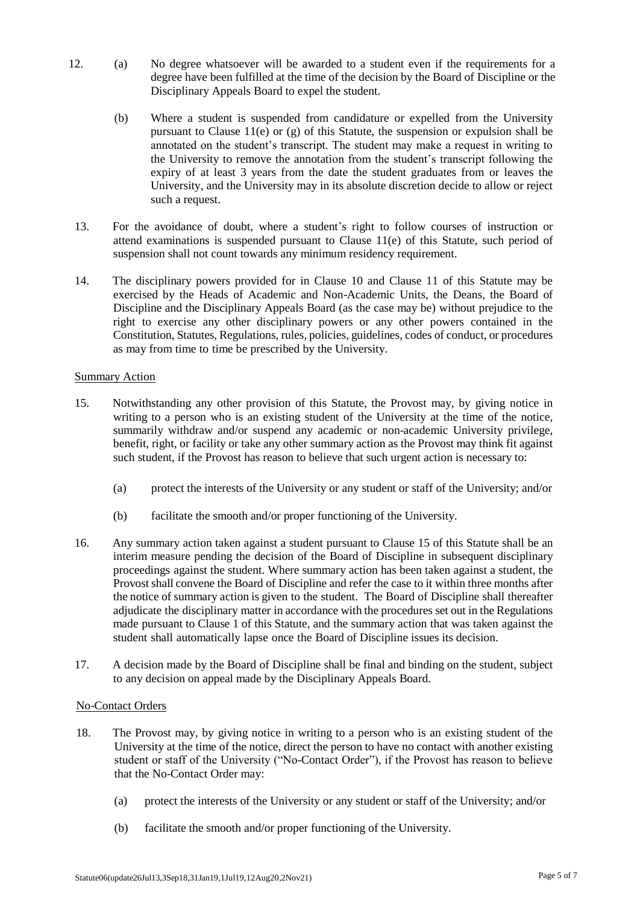- 12. (a) No degree whatsoever will be awarded to a student even if the requirements for a degree have been fulfilled at the time of the decision by the Board of Discipline or the Disciplinary Appeals Board to expel the student.
	- (b) Where a student is suspended from candidature or expelled from the University pursuant to Clause 11(e) or (g) of this Statute, the suspension or expulsion shall be annotated on the student's transcript. The student may make a request in writing to the University to remove the annotation from the student's transcript following the expiry of at least 3 years from the date the student graduates from or leaves the University, and the University may in its absolute discretion decide to allow or reject such a request.
- 13. For the avoidance of doubt, where a student's right to follow courses of instruction or attend examinations is suspended pursuant to Clause 11(e) of this Statute, such period of suspension shall not count towards any minimum residency requirement.
- 14. The disciplinary powers provided for in Clause 10 and Clause 11 of this Statute may be exercised by the Heads of Academic and Non-Academic Units, the Deans, the Board of Discipline and the Disciplinary Appeals Board (as the case may be) without prejudice to the right to exercise any other disciplinary powers or any other powers contained in the Constitution, Statutes, Regulations, rules, policies, guidelines, codes of conduct, or procedures as may from time to time be prescribed by the University.

### **Summary Action**

- 15. Notwithstanding any other provision of this Statute, the Provost may, by giving notice in writing to a person who is an existing student of the University at the time of the notice, summarily withdraw and/or suspend any academic or non-academic University privilege, benefit, right, or facility or take any other summary action as the Provost may think fit against such student, if the Provost has reason to believe that such urgent action is necessary to:
	- (a) protect the interests of the University or any student or staff of the University; and/or
	- (b) facilitate the smooth and/or proper functioning of the University.
- 16. Any summary action taken against a student pursuant to Clause 15 of this Statute shall be an interim measure pending the decision of the Board of Discipline in subsequent disciplinary proceedings against the student. Where summary action has been taken against a student, the Provost shall convene the Board of Discipline and refer the case to it within three months after the notice of summary action is given to the student. The Board of Discipline shall thereafter adjudicate the disciplinary matter in accordance with the procedures set out in the Regulations made pursuant to Clause 1 of this Statute, and the summary action that was taken against the student shall automatically lapse once the Board of Discipline issues its decision.
- 17. A decision made by the Board of Discipline shall be final and binding on the student, subject to any decision on appeal made by the Disciplinary Appeals Board.

### No-Contact Orders

- 18. The Provost may, by giving notice in writing to a person who is an existing student of the University at the time of the notice, direct the person to have no contact with another existing student or staff of the University ("No-Contact Order"), if the Provost has reason to believe that the No-Contact Order may:
	- (a) protect the interests of the University or any student or staff of the University; and/or
	- (b) facilitate the smooth and/or proper functioning of the University.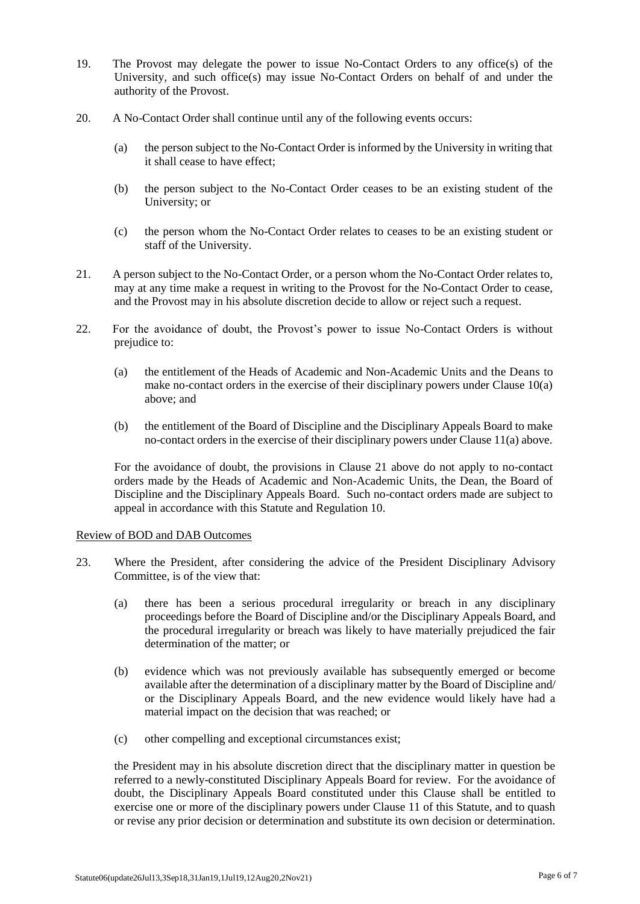- 19. The Provost may delegate the power to issue No-Contact Orders to any office(s) of the University, and such office(s) may issue No-Contact Orders on behalf of and under the authority of the Provost.
- 20. A No-Contact Order shall continue until any of the following events occurs:
	- (a) the person subject to the No-Contact Order is informed by the University in writing that it shall cease to have effect;
	- (b) the person subject to the No-Contact Order ceases to be an existing student of the University; or
	- (c) the person whom the No-Contact Order relates to ceases to be an existing student or staff of the University.
- 21. A person subject to the No-Contact Order, or a person whom the No-Contact Order relates to, may at any time make a request in writing to the Provost for the No-Contact Order to cease, and the Provost may in his absolute discretion decide to allow or reject such a request.
- 22. For the avoidance of doubt, the Provost's power to issue No-Contact Orders is without prejudice to:
	- (a) the entitlement of the Heads of Academic and Non-Academic Units and the Deans to make no-contact orders in the exercise of their disciplinary powers under Clause 10(a) above; and
	- (b) the entitlement of the Board of Discipline and the Disciplinary Appeals Board to make no-contact orders in the exercise of their disciplinary powers under Clause 11(a) above.

For the avoidance of doubt, the provisions in Clause 21 above do not apply to no-contact orders made by the Heads of Academic and Non-Academic Units, the Dean, the Board of Discipline and the Disciplinary Appeals Board. Such no-contact orders made are subject to appeal in accordance with this Statute and Regulation 10.

#### Review of BOD and DAB Outcomes

- 23. Where the President, after considering the advice of the President Disciplinary Advisory Committee, is of the view that:
	- (a) there has been a serious procedural irregularity or breach in any disciplinary proceedings before the Board of Discipline and/or the Disciplinary Appeals Board, and the procedural irregularity or breach was likely to have materially prejudiced the fair determination of the matter; or
	- (b) evidence which was not previously available has subsequently emerged or become available after the determination of a disciplinary matter by the Board of Discipline and/ or the Disciplinary Appeals Board, and the new evidence would likely have had a material impact on the decision that was reached; or
	- (c) other compelling and exceptional circumstances exist;

the President may in his absolute discretion direct that the disciplinary matter in question be referred to a newly-constituted Disciplinary Appeals Board for review. For the avoidance of doubt, the Disciplinary Appeals Board constituted under this Clause shall be entitled to exercise one or more of the disciplinary powers under Clause 11 of this Statute, and to quash or revise any prior decision or determination and substitute its own decision or determination.